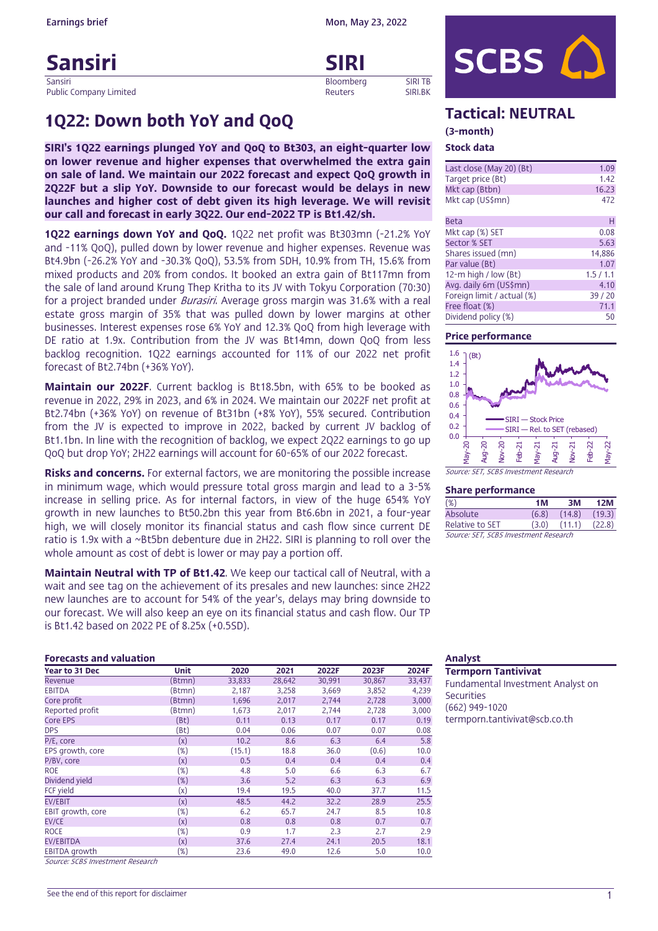# Sansiri SIRI<br>Sansiri SIRI

Sansiri Bloomberg SIRI TB Public Company Limited **Reuters** SIRI.BK

#### Earnings brief Mon, May 23, 2022

# (3-month)

# Stock data

| Last close (May 20) (Bt)   | 1.09    |
|----------------------------|---------|
| Target price (Bt)          | 1.42    |
| Mkt cap (Btbn)             | 16.23   |
| Mkt cap (US\$mn)           | 472     |
|                            |         |
| <b>Beta</b>                | н       |
| Mkt cap (%) SET            | 0.08    |
| Sector % SET               | 5.63    |
| Shares issued (mn)         | 14,886  |
| Par value (Bt)             | 1.07    |
| 12-m high / low $(Bt)$     | 1.5/1.1 |
| Avg. daily 6m (US\$mn)     | 4.10    |
| Foreign limit / actual (%) | 39/20   |
| Free float (%)             | 71.1    |

Free float (%)<br>Dividend policy (%) 50

### Price performance

Dividend policy (%)



Share performance

| <b>Share performance</b>              |       |        |        |  |  |  |  |  |  |
|---------------------------------------|-------|--------|--------|--|--|--|--|--|--|
| $(\%)$                                | 1M    | ЗM     | 12M    |  |  |  |  |  |  |
| Absolute                              | (6.8) | (14.8) | (19.3) |  |  |  |  |  |  |
| Relative to SET                       | (3.0) | (11.1) | (22.8) |  |  |  |  |  |  |
| Source: SET, SCBS Investment Research |       |        |        |  |  |  |  |  |  |

# 1Q22: Down both YoY and QoQ Tactical: NEUTRAL

SIRI's 1Q22 earnings plunged YoY and QoQ to Bt303, an eight-quarter low on lower revenue and higher expenses that overwhelmed the extra gain on sale of land. We maintain our 2022 forecast and expect QoQ growth in 2Q22F but a slip YoY. Downside to our forecast would be delays in new launches and higher cost of debt given its high leverage. We will revisit our call and forecast in early 3Q22. Our end-2022 TP is Bt1.42/sh.

1Q22 earnings down YoY and QoQ. 1Q22 net profit was Bt303mn (-21.2% YoY and -11% QoQ), pulled down by lower revenue and higher expenses. Revenue was Bt4.9bn (-26.2% YoY and -30.3% QoQ), 53.5% from SDH, 10.9% from TH, 15.6% from mixed products and 20% from condos. It booked an extra gain of Bt117mn from the sale of land around Krung Thep Kritha to its JV with Tokyu Corporation (70:30) for a project branded under *Burasiri*. Average gross margin was 31.6% with a real estate gross margin of 35% that was pulled down by lower margins at other businesses. Interest expenses rose 6% YoY and 12.3% QoQ from high leverage with DE ratio at 1.9x. Contribution from the JV was Bt14mn, down QoQ from less backlog recognition. 1Q22 earnings accounted for 11% of our 2022 net profit forecast of Bt2.74bn (+36% YoY).

Maintain our 2022F. Current backlog is Bt18.5bn, with 65% to be booked as revenue in 2022, 29% in 2023, and 6% in 2024. We maintain our 2022F net profit at Bt2.74bn (+36% YoY) on revenue of Bt31bn (+8% YoY), 55% secured. Contribution from the JV is expected to improve in 2022, backed by current JV backlog of Bt1.1bn. In line with the recognition of backlog, we expect 2Q22 earnings to go up QoQ but drop YoY; 2H22 earnings will account for 60-65% of our 2022 forecast.

**Risks and concerns.** For external factors, we are monitoring the possible increase in minimum wage, which would pressure total gross margin and lead to a 3-5% increase in selling price. As for internal factors, in view of the huge 654% YoY growth in new launches to Bt50.2bn this year from Bt6.6bn in 2021, a four-year high, we will closely monitor its financial status and cash flow since current DE ratio is 1.9x with a ~Bt5bn debenture due in 2H22. SIRI is planning to roll over the whole amount as cost of debt is lower or may pay a portion off.

Maintain Neutral with TP of Bt1.42. We keep our tactical call of Neutral, with a wait and see tag on the achievement of its presales and new launches: since 2H22 new launches are to account for 54% of the year's, delays may bring downside to our forecast. We will also keep an eye on its financial status and cash flow. Our TP is Bt1.42 based on 2022 PE of 8.25x (+0.5SD).

### **Forecasts and valuation** Analyst **Analyst** *Analyst* Analyst **Analyst** Analyst **Analyst**

| Year to 31 Dec       | Unit   | 2020   | 2021   | 2022F  | 2023F  | 2024F  |
|----------------------|--------|--------|--------|--------|--------|--------|
| Revenue              | (Btmn) | 33,833 | 28,642 | 30,991 | 30,867 | 33,437 |
| <b>EBITDA</b>        | [Btmn] | 2,187  | 3,258  | 3,669  | 3,852  | 4,239  |
| Core profit          | (Btmn) | 1,696  | 2,017  | 2,744  | 2,728  | 3,000  |
| Reported profit      | [Btmn] | 1,673  | 2,017  | 2,744  | 2,728  | 3,000  |
| Core EPS             | (Bt)   | 0.11   | 0.13   | 0.17   | 0.17   | 0.19   |
| <b>DPS</b>           | (Bt)   | 0.04   | 0.06   | 0.07   | 0.07   | 0.08   |
| P/E, core            | (x)    | 10.2   | 8.6    | 6,3    | 6.4    | 5.8    |
| EPS growth, core     | (%)    | (15.1) | 18.8   | 36.0   | (0.6)  | 10.0   |
| P/BV, core           | (x)    | 0.5    | 0.4    | 0.4    | 0.4    | 0.4    |
| <b>ROE</b>           | (%)    | 4.8    | 5.0    | 6.6    | 6.3    | 6.7    |
| Dividend yield       | $(\%)$ | 3.6    | 5.2    | 6.3    | 6.3    | 6.9    |
| FCF yield            | (x)    | 19.4   | 19.5   | 40.0   | 37.7   | 11.5   |
| <b>EV/EBIT</b>       | (x)    | 48.5   | 44.2   | 32.2   | 28.9   | 25.5   |
| EBIT growth, core    | (%)    | 6.2    | 65.7   | 24.7   | 8.5    | 10.8   |
| EV/CE                | (x)    | 0.8    | 0.8    | 0.8    | 0.7    | 0.7    |
| <b>ROCE</b>          | $(\%)$ | 0.9    | 1.7    | 2.3    | 2.7    | 2.9    |
| <b>EV/EBITDA</b>     | (x)    | 37.6   | 27.4   | 24.1   | 20.5   | 18.1   |
| <b>EBITDA</b> growth | (%)    | 23.6   | 49.0   | 12.6   | 5.0    | 10.0   |

Source: SCBS Investment Research

Termporn Tantivivat Fundamental Investment Analyst on **Securities** (662) 949-1020 termporn.tantivivat@scb.co.th

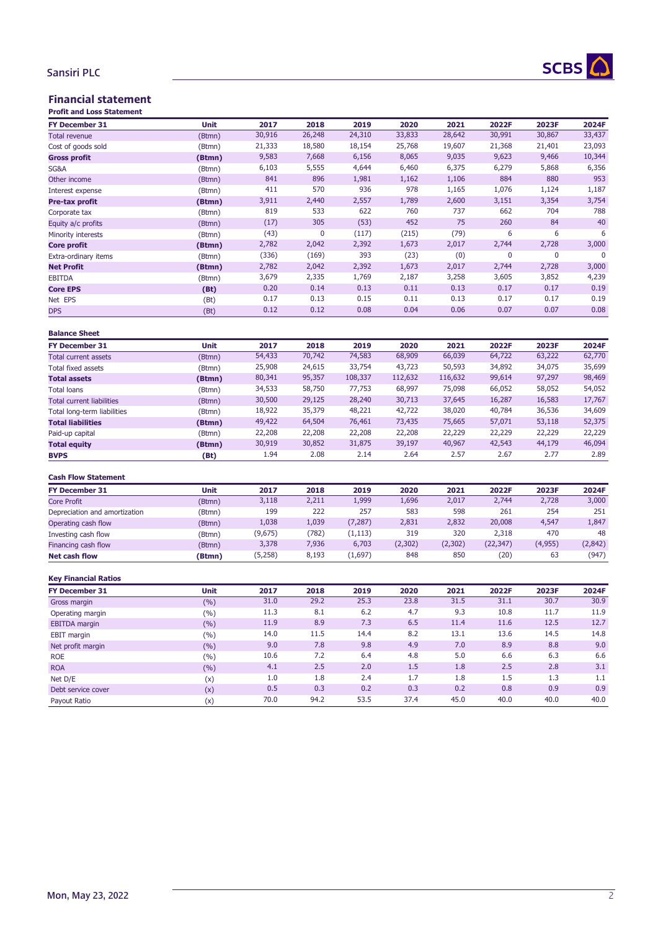# SCBS A

## Sansiri PLC

# Financial statement

| <b>Profit and Loss Statement</b> |        |         |        |          |         |          |             |             |         |
|----------------------------------|--------|---------|--------|----------|---------|----------|-------------|-------------|---------|
| <b>FY December 31</b>            | Unit   | 2017    | 2018   | 2019     | 2020    | 2021     | 2022F       | 2023F       | 2024F   |
| <b>Total revenue</b>             | (Btmn) | 30,916  | 26,248 | 24,310   | 33,833  | 28,642   | 30,991      | 30,867      | 33,437  |
| Cost of goods sold               | (Btmn) | 21,333  | 18,580 | 18,154   | 25,768  | 19,607   | 21,368      | 21,401      | 23,093  |
| <b>Gross profit</b>              | (Btmn) | 9,583   | 7,668  | 6,156    | 8,065   | 9,035    | 9,623       | 9,466       | 10,344  |
| SG&A                             | (Btmn) | 6,103   | 5,555  | 4,644    | 6,460   | 6,375    | 6,279       | 5,868       | 6,356   |
| Other income                     | (Btmn) | 841     | 896    | 1,981    | 1,162   | 1,106    | 884         | 880         | 953     |
| Interest expense                 | (Btmn) | 411     | 570    | 936      | 978     | 1,165    | 1,076       | 1,124       | 1,187   |
| Pre-tax profit                   | (Btmn) | 3,911   | 2,440  | 2,557    | 1,789   | 2,600    | 3,151       | 3,354       | 3,754   |
| Corporate tax                    | (Btmn) | 819     | 533    | 622      | 760     | 737      | 662         | 704         | 788     |
| Equity a/c profits               | (Btmn) | (17)    | 305    | (53)     | 452     | 75       | 260         | 84          | 40      |
| Minority interests               | (Btmn) | (43)    | 0      | (117)    | (215)   | (79)     | 6           | 6           | 6       |
| <b>Core profit</b>               | (Btmn) | 2,782   | 2,042  | 2,392    | 1,673   | 2,017    | 2,744       | 2,728       | 3,000   |
| Extra-ordinary items             | (Btmn) | (336)   | (169)  | 393      | (23)    | (0)      | $\mathbf 0$ | $\mathbf 0$ | 0       |
| <b>Net Profit</b>                | (Btmn) | 2,782   | 2,042  | 2,392    | 1,673   | 2,017    | 2,744       | 2,728       | 3,000   |
| <b>EBITDA</b>                    | (Btmn) | 3,679   | 2,335  | 1,769    | 2,187   | 3,258    | 3,605       | 3,852       | 4,239   |
| <b>Core EPS</b>                  | (Bt)   | 0.20    | 0.14   | 0.13     | 0.11    | 0.13     | 0.17        | 0.17        | 0.19    |
| Net EPS                          | (Bt)   | 0.17    | 0.13   | 0.15     | 0.11    | 0.13     | 0.17        | 0.17        | 0.19    |
| <b>DPS</b>                       | (Bt)   | 0.12    | 0.12   | 0.08     | 0.04    | 0.06     | 0.07        | 0.07        | 0.08    |
|                                  |        |         |        |          |         |          |             |             |         |
| <b>Balance Sheet</b>             |        |         |        |          |         |          |             |             |         |
| <b>FY December 31</b>            | Unit   | 2017    | 2018   | 2019     | 2020    | 2021     | 2022F       | 2023F       | 2024F   |
| <b>Total current assets</b>      | (Btmn) | 54,433  | 70,742 | 74,583   | 68,909  | 66,039   | 64,722      | 63,222      | 62,770  |
| <b>Total fixed assets</b>        | (Btmn) | 25,908  | 24,615 | 33,754   | 43,723  | 50,593   | 34,892      | 34,075      | 35,699  |
| <b>Total assets</b>              | (Btmn) | 80,341  | 95,357 | 108,337  | 112,632 | 116,632  | 99,614      | 97,297      | 98,469  |
| <b>Total loans</b>               | (Btmn) | 34,533  | 58,750 | 77,753   | 68,997  | 75,098   | 66,052      | 58,052      | 54,052  |
| <b>Total current liabilities</b> | (Btmn) | 30,500  | 29,125 | 28,240   | 30,713  | 37,645   | 16,287      | 16,583      | 17,767  |
| Total long-term liabilities      | (Btmn) | 18,922  | 35,379 | 48,221   | 42,722  | 38,020   | 40,784      | 36,536      | 34,609  |
| <b>Total liabilities</b>         | (Btmn) | 49,422  | 64,504 | 76,461   | 73,435  | 75,665   | 57,071      | 53,118      | 52,375  |
| Paid-up capital                  | (Btmn) | 22,208  | 22,208 | 22,208   | 22,208  | 22,229   | 22,229      | 22,229      | 22,229  |
| <b>Total equity</b>              | (Btmn) | 30,919  | 30,852 | 31,875   | 39,197  | 40,967   | 42,543      | 44,179      | 46,094  |
| <b>BVPS</b>                      | (Bt)   | 1.94    | 2.08   | 2.14     | 2.64    | 2.57     | 2.67        | 2.77        | 2.89    |
|                                  |        |         |        |          |         |          |             |             |         |
| <b>Cash Flow Statement</b>       |        |         |        |          |         |          |             |             |         |
| <b>FY December 31</b>            | Unit   | 2017    | 2018   | 2019     | 2020    | 2021     | 2022F       | 2023F       | 2024F   |
| <b>Core Profit</b>               | (Btmn) | 3,118   | 2,211  | 1,999    | 1,696   | 2,017    | 2,744       | 2,728       | 3,000   |
| Depreciation and amortization    | (Btmn) | 199     | 222    | 257      | 583     | 598      | 261         | 254         | 251     |
| Operating cash flow              | (Btmn) | 1,038   | 1,039  | (7, 287) | 2,831   | 2,832    | 20,008      | 4,547       | 1,847   |
| Investing cash flow              | (Btmn) | (9,675) | (782)  | (1, 113) | 319     | 320      | 2,318       | 470         | 48      |
| Financing cash flow              | (Btmn) | 3,378   | 7,936  | 6,703    | (2,302) | (2, 302) | (22, 347)   | (4,955)     | (2,842) |
| <b>Net cash flow</b>             | (Btmn) | (5,258) | 8,193  | (1,697)  | 848     | 850      | (20)        | 63          | (947)   |
|                                  |        |         |        |          |         |          |             |             |         |
| <b>Key Financial Ratios</b>      |        |         |        |          |         |          |             |             |         |
| <b>FY December 31</b>            | Unit   | 2017    | 2018   | 2019     | 2020    | 2021     | 2022F       | 2023F       | 2024F   |
| Gross margin                     | (%)    | 31.0    | 29.2   | 25.3     | 23.8    | 31.5     | 31.1        | 30.7        | 30.9    |
| Operating margin                 | (%)    | 11.3    | 8.1    | $6.2\,$  | 4.7     | 9.3      | 10.8        | 11.7        | 11.9    |
| <b>EBITDA</b> margin             | (%)    | 11.9    | 8.9    | 7.3      | 6.5     | 11.4     | 11.6        | 12.5        | 12.7    |
| <b>EBIT</b> margin               | (%)    | 14.0    | 11.5   | 14.4     | 8.2     | 13.1     | 13.6        | 14.5        | 14.8    |
| Net profit margin                | (%)    | 9.0     | 7.8    | 9.8      | 4.9     | 7.0      | 8.9         | 8.8         | 9.0     |
| <b>ROE</b>                       | (%)    | 10.6    | 7.2    | 6.4      | 4.8     | 5.0      | 6.6         | 6.3         | 6.6     |
| <b>ROA</b>                       | (%)    | 4.1     | 2.5    | $2.0$    | 1.5     | 1.8      | 2.5         | 2.8         | $3.1\,$ |
| Net D/E                          | (x)    | 1.0     | 1.8    | 2.4      | 1.7     | 1.8      | 1.5         | 1.3         | 1.1     |
| Debt service cover               | (x)    | 0.5     | 0.3    | 0.2      | 0.3     | 0.2      | 0.8         | 0.9         | 0.9     |
| Payout Ratio                     | (x)    | 70.0    | 94.2   | 53.5     | 37.4    | 45.0     | 40.0        | 40.0        | 40.0    |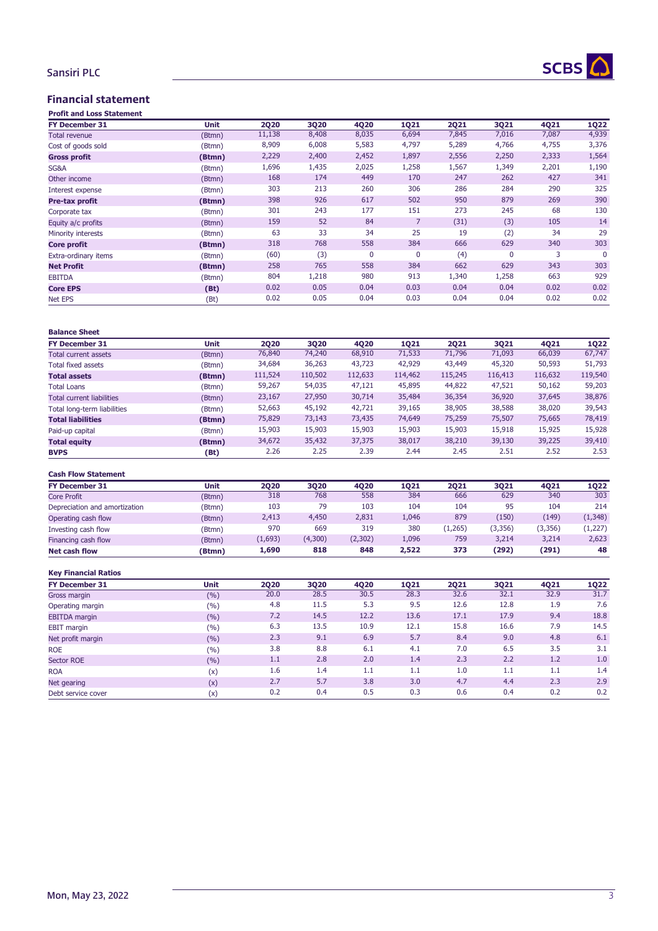

## Sansiri PLC

## Financial statement

| <b>Profit and Loss Statement</b> |        |             |       |              |             |             |             |       |             |
|----------------------------------|--------|-------------|-------|--------------|-------------|-------------|-------------|-------|-------------|
| <b>FY December 31</b>            | Unit   | <b>2Q20</b> | 3Q20  | <b>4Q20</b>  | <b>1Q21</b> | <b>2Q21</b> | 3Q21        | 4Q21  | <b>1Q22</b> |
| <b>Total revenue</b>             | (Btmn) | 11,138      | 8,408 | 8,035        | 6,694       | 7,845       | 7,016       | 7,087 | 4,939       |
| Cost of goods sold               | (Btmn) | 8,909       | 6,008 | 5,583        | 4,797       | 5,289       | 4,766       | 4,755 | 3,376       |
| <b>Gross profit</b>              | (Btmn) | 2,229       | 2,400 | 2,452        | 1,897       | 2,556       | 2,250       | 2,333 | 1,564       |
| SG&A                             | (Btmn) | 1,696       | 1,435 | 2,025        | 1,258       | 1,567       | 1,349       | 2,201 | 1,190       |
| Other income                     | (Btmn) | 168         | 174   | 449          | 170         | 247         | 262         | 427   | 341         |
| Interest expense                 | (Btmn) | 303         | 213   | 260          | 306         | 286         | 284         | 290   | 325         |
| Pre-tax profit                   | (Btmn) | 398         | 926   | 617          | 502         | 950         | 879         | 269   | 390         |
| Corporate tax                    | (Btmn) | 301         | 243   | 177          | 151         | 273         | 245         | 68    | 130         |
| Equity a/c profits               | (Btmn) | 159         | 52    | 84           | 7           | (31)        | (3)         | 105   | 14          |
| Minority interests               | (Btmn) | 63          | 33    | 34           | 25          | 19          | (2)         | 34    | 29          |
| Core profit                      | (Btmn) | 318         | 768   | 558          | 384         | 666         | 629         | 340   | 303         |
| Extra-ordinary items             | (Btmn) | (60)        | (3)   | $\mathbf{0}$ | 0           | (4)         | $\mathbf 0$ | 3     | $\Omega$    |
| <b>Net Profit</b>                | (Btmn) | 258         | 765   | 558          | 384         | 662         | 629         | 343   | 303         |
| <b>EBITDA</b>                    | (Btmn) | 804         | 1,218 | 980          | 913         | 1,340       | 1,258       | 663   | 929         |
| <b>Core EPS</b>                  | (Bt)   | 0.02        | 0.05  | 0.04         | 0.03        | 0.04        | 0.04        | 0.02  | 0.02        |
| <b>Net EPS</b>                   | (Bt)   | 0.02        | 0.05  | 0.04         | 0.03        | 0.04        | 0.04        | 0.02  | 0.02        |

| <b>Balance Sheet</b>        |             |         |         |         |             |             |         |         |             |
|-----------------------------|-------------|---------|---------|---------|-------------|-------------|---------|---------|-------------|
| <b>FY December 31</b>       | <b>Unit</b> | 2020    | 3020    | 4020    | <b>1Q21</b> | <b>2Q21</b> | 3Q21    | 4021    | <b>1Q22</b> |
| Total current assets        | (Btmn)      | 76,840  | 74,240  | 68,910  | 71,533      | 71,796      | 71,093  | 66,039  | 67,747      |
| Total fixed assets          | (Btmn)      | 34,684  | 36,263  | 43,723  | 42,929      | 43,449      | 45,320  | 50,593  | 51,793      |
| <b>Total assets</b>         | (Btmn)      | 111,524 | 110,502 | 112,633 | 114,462     | 115,245     | 116,413 | 116,632 | 119,540     |
| <b>Total Loans</b>          | (Btmn)      | 59,267  | 54,035  | 47,121  | 45,895      | 44,822      | 47,521  | 50,162  | 59,203      |
| Total current liabilities   | (Btmn)      | 23,167  | 27,950  | 30,714  | 35,484      | 36,354      | 36,920  | 37,645  | 38,876      |
| Total long-term liabilities | (Btmn)      | 52,663  | 45,192  | 42,721  | 39,165      | 38,905      | 38,588  | 38,020  | 39,543      |
| <b>Total liabilities</b>    | (Btmn)      | 75,829  | 73,143  | 73,435  | 74,649      | 75,259      | 75,507  | 75,665  | 78,419      |
| Paid-up capital             | (Btmn)      | 15,903  | 15,903  | 15,903  | 15,903      | 15,903      | 15,918  | 15,925  | 15,928      |
| <b>Total equity</b>         | (Btmn)      | 34,672  | 35,432  | 37,375  | 38,017      | 38,210      | 39,130  | 39,225  | 39,410      |
| <b>BVPS</b>                 | (Bt)        | 2.26    | 2.25    | 2.39    | 2.44        | 2.45        | 2.51    | 2.52    | 2.53        |

#### **Cash Flow Statement**

| <b>FY December 31</b>         | <b>Unit</b> | 2020    | 3020    | 4020    | 1021  | 2021    | 3021     | 4021    | 1022     |
|-------------------------------|-------------|---------|---------|---------|-------|---------|----------|---------|----------|
| Core Profit                   | (Btmn)      | 318     | 768     | 558     | 384   | 666     | 629      | 340     | 303      |
| Depreciation and amortization | (Btmn)      | 103     | 79      | 103     | 104   | 104     | 95       | 104     | 214      |
| Operating cash flow           | (Btmn)      | 2,413   | 4,450   | 2,831   | 1,046 | 879     | (150)    | (149)   | (1, 348) |
| Investing cash flow           | (Btmn)      | 970     | 669     | 319     | 380   | (1,265) | (3, 356) | (3,356) | (1,227)  |
| Financing cash flow           | (Btmn)      | (1,693) | (4,300) | (2,302) | 1,096 | 759     | 3,214    | 3,214   | 2,623    |
| <b>Net cash flow</b>          | (Btmn)      | 1,690   | 818     | 848     | 2,522 | 373     | (292)    | (291)   | 48       |
|                               |             |         |         |         |       |         |          |         |          |

#### **Key Financial Ratios**

| <b>Unit</b> | 2020 | <b>3Q20</b> | 4Q20 | <b>1Q21</b> | <b>2Q21</b> | 3Q21 | 4Q21 | <b>1Q22</b> |
|-------------|------|-------------|------|-------------|-------------|------|------|-------------|
| (%)         | 20.0 | 28.5        | 30.5 | 28.3        | 32.6        | 32.1 | 32.9 | 31.7        |
| (%)         | 4.8  | 11.5        | 5.3  | 9.5         | 12.6        | 12.8 | 1.9  | 7.6         |
| (9/6)       | 7.2  | 14.5        | 12.2 | 13.6        | 17.1        | 17.9 | 9.4  | 18.8        |
| (%)         | 6.3  | 13.5        | 10.9 | 12.1        | 15.8        | 16.6 | 7.9  | 14.5        |
| (%)         | 2.3  | 9.1         | 6.9  | 5.7         | 8.4         | 9.0  | 4.8  | 6.1         |
| (%)         | 3.8  | 8.8         | 6.1  | 4.1         | 7.0         | 6.5  | 3.5  | 3.1         |
| (%)         | 1.1  | 2.8         | 2.0  | 1.4         | 2.3         | 2.2  | 1.2  | 1.0         |
| (x)         | 1.6  | 1.4         | 1.1  | 1.1         | 1.0         | 1.1  | 1.1  | 1.4         |
| (x)         | 2.7  | 5.7         | 3.8  | 3.0         | 4.7         | 4.4  | 2.3  | 2.9         |
| (x)         | 0.2  | 0.4         | 0.5  | 0.3         | 0.6         | 0.4  | 0.2  | 0.2         |
|             |      |             |      |             |             |      |      |             |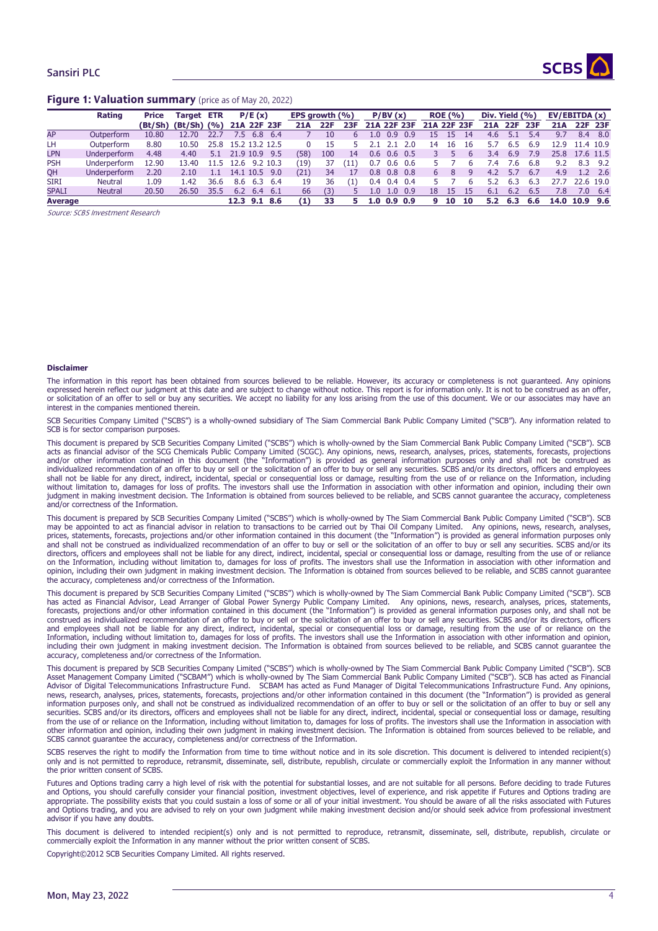



#### Figure 1: Valuation summary (price as of May 20, 2022)

|                | Rating              | <b>Price</b> | <b>Target ETR</b>        |      | P/E(x)         |       | EPS arowth (%) |     | P/BV(x) |                  | <b>ROE</b> (%)  |                 | Div. Yield (%) |    |    | EV/EBITDA(x) |     |            |            |           |         |
|----------------|---------------------|--------------|--------------------------|------|----------------|-------|----------------|-----|---------|------------------|-----------------|-----------------|----------------|----|----|--------------|-----|------------|------------|-----------|---------|
|                |                     |              | $(Bt/Sh)$ $(Bt/Sh)$ $(%$ |      | 21A 22F 23F    |       | 21A            | 22F | 23F     | 21A 22F 23F      |                 |                 | 21A 22F 23F    |    |    | 21A          | 22F | <b>23F</b> | <b>21A</b> |           | 22F 23F |
| AP             | Outperform          | 10.80        | 12.70                    | 22.7 | 7.5<br>6.8     | -6.4  |                | 10  |         | $\Omega$         | 0.9             | 0.9             | 15             | 15 | 14 | 4.6          |     | 5.4        | 9.7        | 8.4       | - 8.0   |
| LH             | Outperform          | 8.80         | 10.50                    | 25.8 | 15.2 13.2 12.5 |       |                | 15  |         | 21               |                 | 2.0             | 14             | 16 | 16 |              | 6.5 | 6.9        | 12.9       | 11.4 10.9 |         |
| <b>LPN</b>     | Underperform        | 4.48         | 4.40                     | 5.1  | 21.9 10.9      | 9.5   | (58)           | 100 | 14      | 0.6              | $0.6 \quad 0.5$ |                 |                |    |    | 3.4          | 6.9 | 7.9        | 25.8       | 17.6 11.5 |         |
| <b>PSH</b>     | Underperform        | 12.90        | 13.40                    | 11.5 | 12.6 9.2 10.3  |       | (19)           | 37  | '11'    | 0.7              | $0.6$ 0.6       |                 |                |    |    | $\cdot$ 4    | 7.6 | 6.8        | 9.2        | 8.3       | 9.2     |
| QH             | <b>Underperform</b> | 2.20         | 2.10                     | 1.1  | 14.1 10.5      | - 9.0 | (21)           | 34  |         | 0.8              | $0.8\ 0.8$      |                 | 6              |    |    | 4.2          | 5.7 | 6.7        | 4.9        | 1.2       | 2.6     |
| <b>SIRI</b>    | <b>Neutral</b>      | 1.09         | l.42                     | 36.6 | 8.6<br>6.3 6.4 |       | 19             | 36  | (1)     | 0.4              | $0.4\quad 0.4$  |                 |                |    |    |              | 6.3 | 6.3        | 27.7       | 22.6 19.0 |         |
| <b>SPALI</b>   | <b>Neutral</b>      | 20.50        | 26.50                    | 35.5 | 6.2<br>6.4     | - 6.1 | 66             | (3) |         | $1.0^{\circ}$    |                 | $1.0 \quad 0.9$ | 18             | 15 | 15 | 6.1          | 6.2 | 6.5        | 7.8        | 7.0       | -6.4    |
| <b>Average</b> |                     |              |                          |      | 12.3 9.1 8.6   |       | (1)            | 33  |         | 1.0 <sub>1</sub> | $0.9\ 0.9$      |                 | q              | 10 | 10 | 5.2          | 6.3 | 6.6        | 14.0       | 10.9      | - 9.6   |

Source: SCBS Investment Research

#### **Disclaimer**

The information in this report has been obtained from sources believed to be reliable. However, its accuracy or completeness is not guaranteed. Any opinions expressed herein reflect our judgment at this date and are subject to change without notice. This report is for information only. It is not to be construed as an offer, or solicitation of an offer to sell or buy any securities. We accept no liability for any loss arising from the use of this document. We or our associates may have an interest in the companies mentioned therein.

SCB Securities Company Limited ("SCBS") is a wholly-owned subsidiary of The Siam Commercial Bank Public Company Limited ("SCB"). Any information related to SCB is for sector comparison purposes.

This document is prepared by SCB Securities Company Limited ("SCBS") which is wholly-owned by the Siam Commercial Bank Public Company Limited ("SCB"). SCB acts as financial advisor of the SCG Chemicals Public Company Limited (SCGC). Any opinions, news, research, analyses, prices, statements, forecasts, projections<br>and/or other information contained in this document (the "Inf individualized recommendation of an offer to buy or sell or the solicitation of an offer to buy or sell any securities. SCBS and/or its directors, officers and employees shall not be liable for any direct, indirect, incidental, special or consequential loss or damage, resulting from the use of or reliance on the Information, including without limitation to, damages for loss of profits. The investors shall use the Information in association with other information and opinion, including their own judgment in making investment decision. The Information is obtained from sources believed to be reliable, and SCBS cannot guarantee the accuracy, completeness and/or correctness of the Information.

This document is prepared by SCB Securities Company Limited ("SCBS") which is wholly-owned by The Siam Commercial Bank Public Company Limited ("SCB"). SCB may be appointed to act as financial advisor in relation to transactions to be carried out by Thai Oil Company Limited. Any opinions, news, research, analyses, prices, statements, forecasts, projections and/or other information contained in this document (the "Information") is provided as general information purposes only and shall not be construed as individualized recommendation of an offer to buy or sell or the solicitation of an offer to buy or sell any securities. SCBS and/or its directors, officers and employees shall not be liable for any direct, indirect, incidental, special or consequential loss or damage, resulting from the use of or reliance on the Information, including without limitation to, damages for loss of profits. The investors shall use the Information in association with other information and opinion, including their own judgment in making investment decision. The Information is obtained from sources believed to be reliable, and SCBS cannot guarantee the accuracy, completeness and/or correctness of the Information.

This document is prepared by SCB Securities Company Limited ("SCBS") which is wholly-owned by The Siam Commercial Bank Public Company Limited ("SCB"). SCB has acted as Financial Advisor, Lead Arranger of Global Power Synergy Public Company Limited. Any opinions, news, research, analyses, prices, statements, forecasts, projections and/or other information contained in this document (the "Information") is provided as general information purposes only, and shall not be construed as individualized recommendation of an offer to buy or sell or the solicitation of an offer to buy or sell any securities. SCBS and/or its directors, officers and employees shall not be liable for any direct, indirect, incidental, special or consequential loss or damage, resulting from the use of or reliance on the Information, including without limitation to, damages for loss of profits. The investors shall use the Information in association with other information and opinion, including their own judgment in making investment decision. The Information is obtained from sources believed to be reliable, and SCBS cannot guarantee the accuracy, completeness and/or correctness of the Information.

This document is prepared by SCB Securities Company Limited ("SCBS") which is wholly-owned by The Siam Commercial Bank Public Company Limited ("SCB"). SCB Asset Management Company Limited ("SCBAM") which is wholly-owned by The Siam Commercial Bank Public Company Limited ("SCB"). SCB has acted as Financial Advisor of Digital Telecommunications Infrastructure Fund. SCBAM has acted as Fund Manager of Digital Telecommunications Infrastructure Fund. Any opinions, news, research, analyses, prices, statements, forecasts, projections and/or other information contained in this document (the "Information") is provided as general information purposes only, and shall not be construed as individualized recommendation of an offer to buy or sell or the solicitation of an offer to buy or sell any securities. SCBS and/or its directors, officers and employees shall not be liable for any direct, indirect, incidental, special or consequential loss or damage, resulting from the use of or reliance on the Information, including without limitation to, damages for loss of profits. The investors shall use the Information in association with other information and opinion, including their own judgment in making investment decision. The Information is obtained from sources believed to be reliable, and SCBS cannot guarantee the accuracy, completeness and/or correctness of the Information.

SCBS reserves the right to modify the Information from time to time without notice and in its sole discretion. This document is delivered to intended recipient(s) only and is not permitted to reproduce, retransmit, disseminate, sell, distribute, republish, circulate or commercially exploit the Information in any manner without the prior written consent of SCBS.

Futures and Options trading carry a high level of risk with the potential for substantial losses, and are not suitable for all persons. Before deciding to trade Futures and Options, you should carefully consider your financial position, investment objectives, level of experience, and risk appetite if Futures and Options trading are appropriate. The possibility exists that you could sustain a loss of some or all of your initial investment. You should be aware of all the risks associated with Futures and Options trading, and you are advised to rely on your own judgment while making investment decision and/or should seek advice from professional investment advisor if you have any doubts.

This document is delivered to intended recipient(s) only and is not permitted to reproduce, retransmit, disseminate, sell, distribute, republish, circulate or commercially exploit the Information in any manner without the prior written consent of SCBS.

Copyright©2012 SCB Securities Company Limited. All rights reserved.